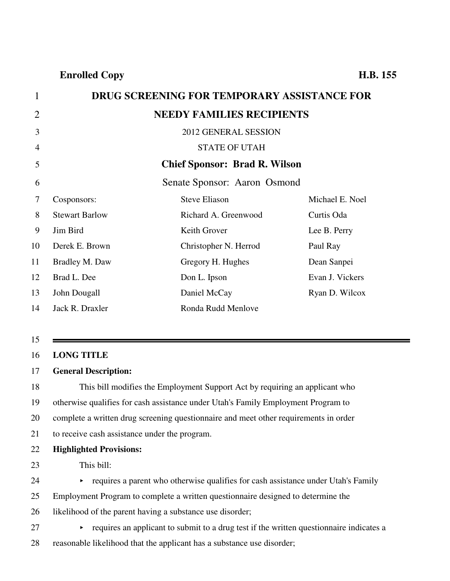| $\mathbf{1}$   |                       | <b>DRUG SCREENING FOR TEMPORARY ASSISTANCE FOR</b> |                 |
|----------------|-----------------------|----------------------------------------------------|-----------------|
| $\overline{2}$ |                       | <b>NEEDY FAMILIES RECIPIENTS</b>                   |                 |
| 3              |                       | 2012 GENERAL SESSION                               |                 |
| $\overline{4}$ |                       | <b>STATE OF UTAH</b>                               |                 |
| 5              |                       | <b>Chief Sponsor: Brad R. Wilson</b>               |                 |
| 6              |                       | Senate Sponsor: Aaron Osmond                       |                 |
| 7              | Cosponsors:           | <b>Steve Eliason</b>                               | Michael E. Noel |
| 8              | <b>Stewart Barlow</b> | Richard A. Greenwood                               | Curtis Oda      |
| 9              | Jim Bird              | Keith Grover                                       | Lee B. Perry    |
| 10             | Derek E. Brown        | Christopher N. Herrod                              | Paul Ray        |
| 11             | Bradley M. Daw        | Gregory H. Hughes                                  | Dean Sanpei     |
| 12             | Brad L. Dee           | Don L. Ipson                                       | Evan J. Vickers |
| 13             | John Dougall          | Daniel McCay                                       | Ryan D. Wilcox  |
| 14             | Jack R. Draxler       | Ronda Rudd Menlove                                 |                 |
|                |                       |                                                    |                 |
|                |                       |                                                    |                 |

#### 15

#### 16 **LONG TITLE**

#### 17 **General Description:**

18 This bill modifies the Employment Support Act by requiring an applicant who 19 otherwise qualifies for cash assistance under Utah's Family Employment Program to 20 complete a written drug screening questionnaire and meet other requirements in order 21 to receive cash assistance under the program. 22 **Highlighted Provisions:**

23 This bill:

 $24$  equires a parent who otherwise qualifies for cash assistance under Utah's Family

25 Employment Program to complete a written questionnaire designed to determine the

26 likelihood of the parent having a substance use disorder;

 $27$  equires an applicant to submit to a drug test if the written questionnaire indicates a

28 reasonable likelihood that the applicant has a substance use disorder;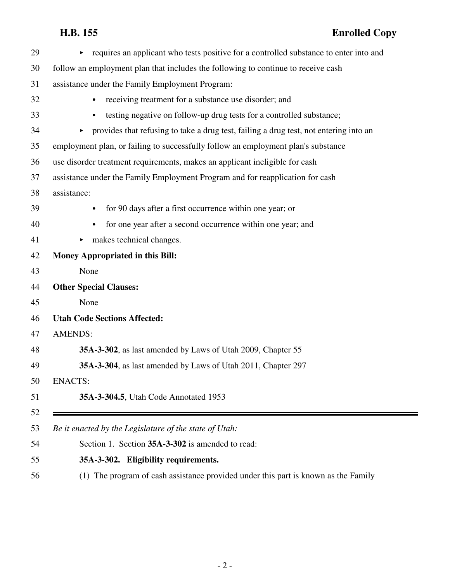## **H.B. 155 Enrolled Copy**

| 29 | requires an applicant who tests positive for a controlled substance to enter into and<br>$\blacktriangleright$ |
|----|----------------------------------------------------------------------------------------------------------------|
| 30 | follow an employment plan that includes the following to continue to receive cash                              |
| 31 | assistance under the Family Employment Program:                                                                |
| 32 | receiving treatment for a substance use disorder; and<br>$\bullet$                                             |
| 33 | testing negative on follow-up drug tests for a controlled substance;<br>$\bullet$                              |
| 34 | provides that refusing to take a drug test, failing a drug test, not entering into an<br>►                     |
| 35 | employment plan, or failing to successfully follow an employment plan's substance                              |
| 36 | use disorder treatment requirements, makes an applicant ineligible for cash                                    |
| 37 | assistance under the Family Employment Program and for reapplication for cash                                  |
| 38 | assistance:                                                                                                    |
| 39 | for 90 days after a first occurrence within one year; or<br>$\bullet$                                          |
| 40 | for one year after a second occurrence within one year; and<br>$\bullet$                                       |
| 41 | makes technical changes.                                                                                       |
| 42 | <b>Money Appropriated in this Bill:</b>                                                                        |
| 43 | None                                                                                                           |
| 44 | <b>Other Special Clauses:</b>                                                                                  |
| 45 | None                                                                                                           |
| 46 | <b>Utah Code Sections Affected:</b>                                                                            |
| 47 | <b>AMENDS:</b>                                                                                                 |
| 48 | 35A-3-302, as last amended by Laws of Utah 2009, Chapter 55                                                    |
| 49 | 35A-3-304, as last amended by Laws of Utah 2011, Chapter 297                                                   |
| 50 | <b>ENACTS:</b>                                                                                                 |
| 51 | 35A-3-304.5, Utah Code Annotated 1953                                                                          |
| 52 |                                                                                                                |
| 53 | Be it enacted by the Legislature of the state of Utah:                                                         |
| 54 | Section 1. Section 35A-3-302 is amended to read:                                                               |
| 55 | 35A-3-302. Eligibility requirements.                                                                           |
| 56 | (1) The program of cash assistance provided under this part is known as the Family                             |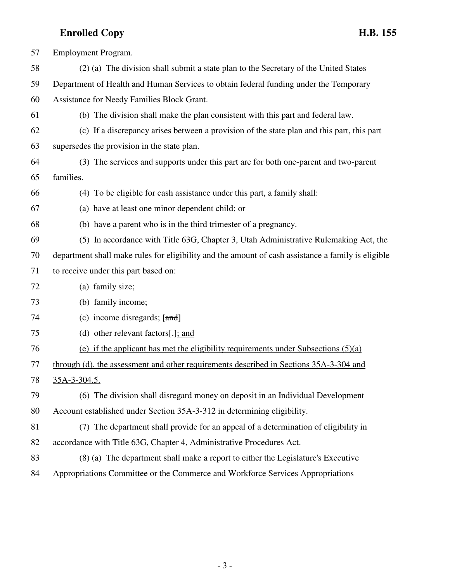| 57 | Employment Program.                                                                                |
|----|----------------------------------------------------------------------------------------------------|
| 58 | (2) (a) The division shall submit a state plan to the Secretary of the United States               |
| 59 | Department of Health and Human Services to obtain federal funding under the Temporary              |
| 60 | Assistance for Needy Families Block Grant.                                                         |
| 61 | (b) The division shall make the plan consistent with this part and federal law.                    |
| 62 | (c) If a discrepancy arises between a provision of the state plan and this part, this part         |
| 63 | supersedes the provision in the state plan.                                                        |
| 64 | (3) The services and supports under this part are for both one-parent and two-parent               |
| 65 | families.                                                                                          |
| 66 | (4) To be eligible for cash assistance under this part, a family shall:                            |
| 67 | (a) have at least one minor dependent child; or                                                    |
| 68 | (b) have a parent who is in the third trimester of a pregnancy.                                    |
| 69 | (5) In accordance with Title 63G, Chapter 3, Utah Administrative Rulemaking Act, the               |
| 70 | department shall make rules for eligibility and the amount of cash assistance a family is eligible |
| 71 | to receive under this part based on:                                                               |
| 72 | (a) family size;                                                                                   |
| 73 | (b) family income;                                                                                 |
| 74 | (c) income disregards; $[\text{and}]$                                                              |
| 75 | (d) other relevant factors[ $:$ ]; and                                                             |
| 76 | (e) if the applicant has met the eligibility requirements under Subsections $(5)(a)$               |
| 77 | through (d), the assessment and other requirements described in Sections 35A-3-304 and             |
| 78 | 35A-3-304.5.                                                                                       |
| 79 | (6) The division shall disregard money on deposit in an Individual Development                     |
| 80 | Account established under Section 35A-3-312 in determining eligibility.                            |
| 81 | (7) The department shall provide for an appeal of a determination of eligibility in                |
| 82 | accordance with Title 63G, Chapter 4, Administrative Procedures Act.                               |
| 83 | (8) (a) The department shall make a report to either the Legislature's Executive                   |
| 84 | Appropriations Committee or the Commerce and Workforce Services Appropriations                     |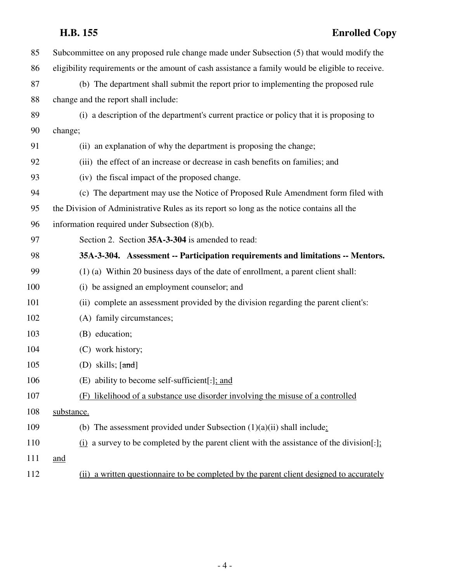## **H.B. 155 Enrolled Copy**

| 85  | Subcommittee on any proposed rule change made under Subsection (5) that would modify the         |
|-----|--------------------------------------------------------------------------------------------------|
| 86  | eligibility requirements or the amount of cash assistance a family would be eligible to receive. |
| 87  | (b) The department shall submit the report prior to implementing the proposed rule               |
| 88  | change and the report shall include:                                                             |
| 89  | (i) a description of the department's current practice or policy that it is proposing to         |
| 90  | change;                                                                                          |
| 91  | (ii) an explanation of why the department is proposing the change;                               |
| 92  | (iii) the effect of an increase or decrease in cash benefits on families; and                    |
| 93  | (iv) the fiscal impact of the proposed change.                                                   |
| 94  | (c) The department may use the Notice of Proposed Rule Amendment form filed with                 |
| 95  | the Division of Administrative Rules as its report so long as the notice contains all the        |
| 96  | information required under Subsection (8)(b).                                                    |
| 97  | Section 2. Section 35A-3-304 is amended to read:                                                 |
| 98  | 35A-3-304. Assessment -- Participation requirements and limitations -- Mentors.                  |
| 99  | (1) (a) Within 20 business days of the date of enrollment, a parent client shall:                |
| 100 | (i) be assigned an employment counselor; and                                                     |
| 101 | (ii) complete an assessment provided by the division regarding the parent client's:              |
| 102 | (A) family circumstances;                                                                        |
| 103 | (B) education;                                                                                   |
| 104 | (C) work history;                                                                                |
| 105 | (D) skills; $[\text{and}]$                                                                       |
| 106 | (E) ability to become self-sufficient[:]; and                                                    |
| 107 | likelihood of a substance use disorder involving the misuse of a controlled<br>(F)               |
| 108 | substance.                                                                                       |
| 109 | (b) The assessment provided under Subsection $(1)(a)(ii)$ shall include:                         |
| 110 | $(i)$ a survey to be completed by the parent client with the assistance of the division[.]       |
| 111 | and                                                                                              |
| 112 | (ii) a written questionnaire to be completed by the parent client designed to accurately         |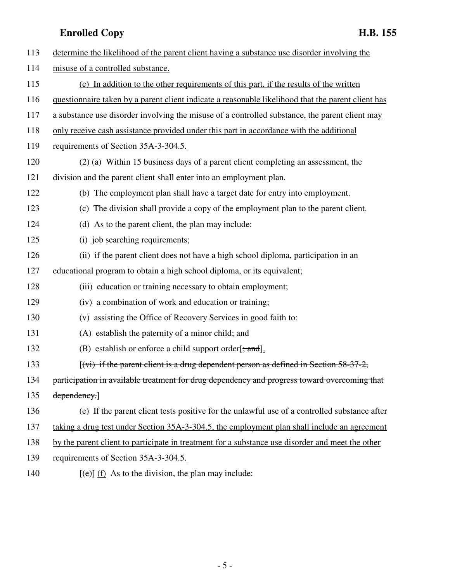| 113 | determine the likelihood of the parent client having a substance use disorder involving the        |
|-----|----------------------------------------------------------------------------------------------------|
| 114 | misuse of a controlled substance.                                                                  |
| 115 | (c) In addition to the other requirements of this part, if the results of the written              |
| 116 | questionnaire taken by a parent client indicate a reasonable likelihood that the parent client has |
| 117 | a substance use disorder involving the misuse of a controlled substance, the parent client may     |
| 118 | only receive cash assistance provided under this part in accordance with the additional            |
| 119 | requirements of Section 35A-3-304.5.                                                               |
| 120 | (2) (a) Within 15 business days of a parent client completing an assessment, the                   |
| 121 | division and the parent client shall enter into an employment plan.                                |
| 122 | (b) The employment plan shall have a target date for entry into employment.                        |
| 123 | (c) The division shall provide a copy of the employment plan to the parent client.                 |
| 124 | (d) As to the parent client, the plan may include:                                                 |
| 125 | (i) job searching requirements;                                                                    |
| 126 | (ii) if the parent client does not have a high school diploma, participation in an                 |
| 127 | educational program to obtain a high school diploma, or its equivalent;                            |
| 128 | (iii) education or training necessary to obtain employment;                                        |
| 129 | (iv) a combination of work and education or training;                                              |
| 130 | (v) assisting the Office of Recovery Services in good faith to:                                    |
| 131 | (A) establish the paternity of a minor child; and                                                  |
| 132 | (B) establish or enforce a child support order $[\frac{1}{2}, \frac{1}{2}]$ .                      |
| 133 | $(vi)$ if the parent client is a drug dependent person as defined in Section 58-37-2,              |
| 134 | participation in available treatment for drug dependency and progress toward overcoming that       |
| 135 | dependency.]                                                                                       |
| 136 | (e) If the parent client tests positive for the unlawful use of a controlled substance after       |
| 137 | taking a drug test under Section 35A-3-304.5, the employment plan shall include an agreement       |
| 138 | by the parent client to participate in treatment for a substance use disorder and meet the other   |
| 139 | requirements of Section 35A-3-304.5.                                                               |
|     |                                                                                                    |

140  $[(e)] (f)$  As to the division, the plan may include: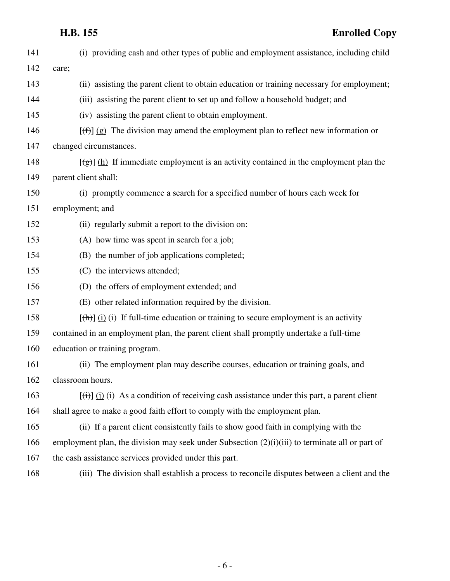## **H.B. 155 Enrolled Copy**

| 141 | (i) providing cash and other types of public and employment assistance, including child                        |
|-----|----------------------------------------------------------------------------------------------------------------|
| 142 | care;                                                                                                          |
| 143 | (ii) assisting the parent client to obtain education or training necessary for employment;                     |
| 144 | (iii) assisting the parent client to set up and follow a household budget; and                                 |
| 145 | (iv) assisting the parent client to obtain employment.                                                         |
| 146 | $[\text{f}^{\text{f}}(\text{f})]$ (g) The division may amend the employment plan to reflect new information or |
| 147 | changed circumstances.                                                                                         |
| 148 | $[\frac{1}{2}]$ (h) If immediate employment is an activity contained in the employment plan the                |
| 149 | parent client shall:                                                                                           |
| 150 | (i) promptly commence a search for a specified number of hours each week for                                   |
| 151 | employment; and                                                                                                |
| 152 | (ii) regularly submit a report to the division on:                                                             |
| 153 | (A) how time was spent in search for a job;                                                                    |
| 154 | (B) the number of job applications completed;                                                                  |
| 155 | (C) the interviews attended;                                                                                   |
| 156 | (D) the offers of employment extended; and                                                                     |
| 157 | (E) other related information required by the division.                                                        |
| 158 | $[\frac{h}{\ln}]$ (i) If full-time education or training to secure employment is an activity                   |
| 159 | contained in an employment plan, the parent client shall promptly undertake a full-time                        |
| 160 | education or training program.                                                                                 |
| 161 | (ii) The employment plan may describe courses, education or training goals, and                                |
| 162 | classroom hours.                                                                                               |
| 163 | $[\overrightarrow{(t)}]$ (i) As a condition of receiving cash assistance under this part, a parent client      |
| 164 | shall agree to make a good faith effort to comply with the employment plan.                                    |
| 165 | (ii) If a parent client consistently fails to show good faith in complying with the                            |
| 166 | employment plan, the division may seek under Subsection $(2)(i)(iii)$ to terminate all or part of              |
| 167 | the cash assistance services provided under this part.                                                         |
| 168 | (iii) The division shall establish a process to reconcile disputes between a client and the                    |
|     |                                                                                                                |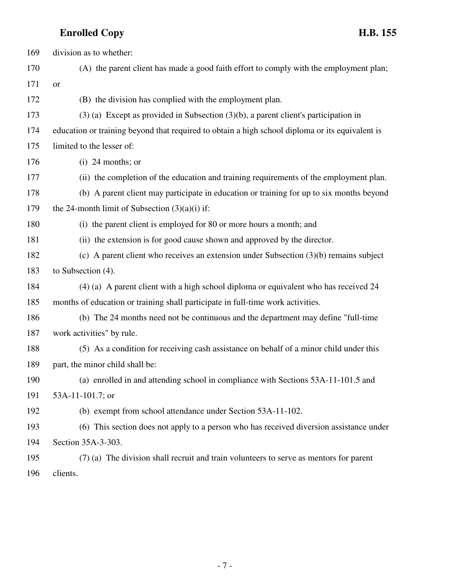| 169 | division as to whether:                                                                         |
|-----|-------------------------------------------------------------------------------------------------|
| 170 | (A) the parent client has made a good faith effort to comply with the employment plan;          |
| 171 | <b>or</b>                                                                                       |
| 172 | (B) the division has complied with the employment plan.                                         |
| 173 | $(3)$ (a) Except as provided in Subsection $(3)(b)$ , a parent client's participation in        |
| 174 | education or training beyond that required to obtain a high school diploma or its equivalent is |
| 175 | limited to the lesser of:                                                                       |
| 176 | $(i)$ 24 months; or                                                                             |
| 177 | (ii) the completion of the education and training requirements of the employment plan.          |
| 178 | (b) A parent client may participate in education or training for up to six months beyond        |
| 179 | the 24-month limit of Subsection $(3)(a)(i)$ if:                                                |
| 180 | (i) the parent client is employed for 80 or more hours a month; and                             |
| 181 | (ii) the extension is for good cause shown and approved by the director.                        |
| 182 | (c) A parent client who receives an extension under Subsection $(3)(b)$ remains subject         |
| 183 | to Subsection $(4)$ .                                                                           |
| 184 | (4) (a) A parent client with a high school diploma or equivalent who has received 24            |
| 185 | months of education or training shall participate in full-time work activities.                 |
| 186 | (b) The 24 months need not be continuous and the department may define "full-time"              |
| 187 | work activities" by rule.                                                                       |
| 188 | (5) As a condition for receiving cash assistance on behalf of a minor child under this          |
| 189 | part, the minor child shall be:                                                                 |
| 190 | (a) enrolled in and attending school in compliance with Sections 53A-11-101.5 and               |
| 191 | 53A-11-101.7; or                                                                                |
| 192 | (b) exempt from school attendance under Section 53A-11-102.                                     |
| 193 | (6) This section does not apply to a person who has received diversion assistance under         |
| 194 | Section 35A-3-303.                                                                              |
| 195 | (7) (a) The division shall recruit and train volunteers to serve as mentors for parent          |
| 196 | clients.                                                                                        |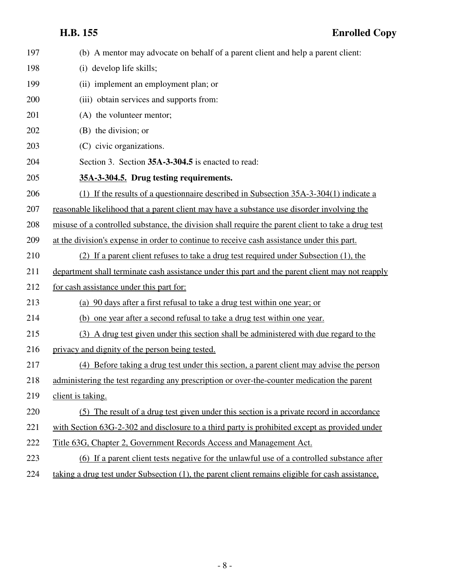| 197 | (b) A mentor may advocate on behalf of a parent client and help a parent client:                   |
|-----|----------------------------------------------------------------------------------------------------|
| 198 | (i) develop life skills;                                                                           |
| 199 | (ii) implement an employment plan; or                                                              |
| 200 | (iii) obtain services and supports from:                                                           |
| 201 | (A) the volunteer mentor;                                                                          |
| 202 | (B) the division; or                                                                               |
| 203 | (C) civic organizations.                                                                           |
| 204 | Section 3. Section 35A-3-304.5 is enacted to read:                                                 |
| 205 | 35A-3-304.5. Drug testing requirements.                                                            |
| 206 | (1) If the results of a questionnaire described in Subsection $35A-3-304(1)$ indicate a            |
| 207 | reasonable likelihood that a parent client may have a substance use disorder involving the         |
| 208 | misuse of a controlled substance, the division shall require the parent client to take a drug test |
| 209 | at the division's expense in order to continue to receive cash assistance under this part.         |
| 210 | (2) If a parent client refuses to take a drug test required under Subsection (1), the              |
| 211 | department shall terminate cash assistance under this part and the parent client may not reapply   |
| 212 | for cash assistance under this part for:                                                           |
| 213 | (a) 90 days after a first refusal to take a drug test within one year; or                          |
| 214 | (b) one year after a second refusal to take a drug test within one year.                           |
| 215 | (3) A drug test given under this section shall be administered with due regard to the              |
| 216 | privacy and dignity of the person being tested.                                                    |
| 217 | (4) Before taking a drug test under this section, a parent client may advise the person            |
| 218 | administering the test regarding any prescription or over-the-counter medication the parent        |
| 219 | client is taking.                                                                                  |
| 220 | (5) The result of a drug test given under this section is a private record in accordance           |
| 221 | with Section 63G-2-302 and disclosure to a third party is prohibited except as provided under      |
| 222 | Title 63G, Chapter 2, Government Records Access and Management Act.                                |
| 223 | (6) If a parent client tests negative for the unlawful use of a controlled substance after         |
| 224 | taking a drug test under Subsection (1), the parent client remains eligible for cash assistance,   |